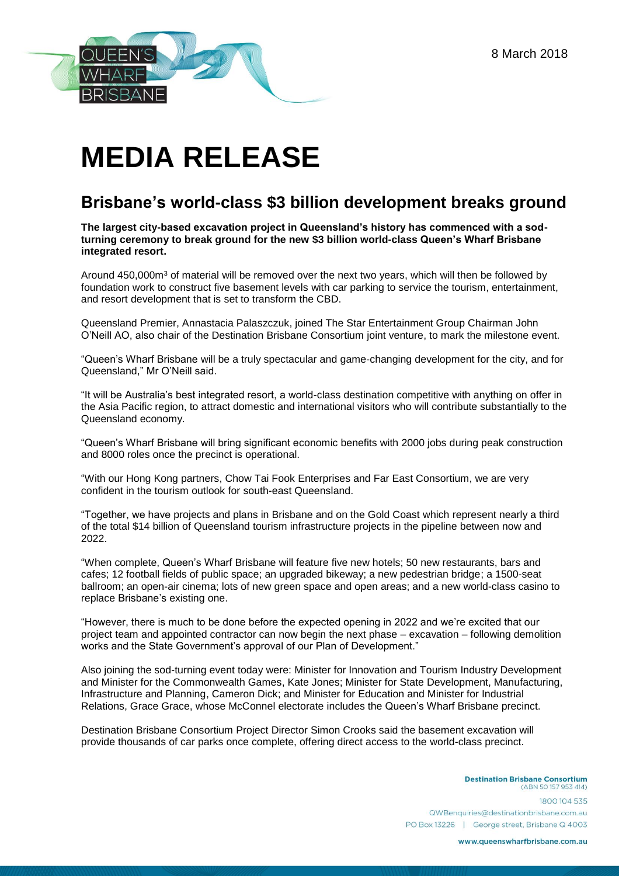8 March 2018



## **MEDIA RELEASE**

## **Brisbane's world-class \$3 billion development breaks ground**

**The largest city-based excavation project in Queensland's history has commenced with a sodturning ceremony to break ground for the new \$3 billion world-class Queen's Wharf Brisbane integrated resort.**

Around 450,000m<sup>3</sup> of material will be removed over the next two years, which will then be followed by foundation work to construct five basement levels with car parking to service the tourism, entertainment, and resort development that is set to transform the CBD.

Queensland Premier, Annastacia Palaszczuk, joined The Star Entertainment Group Chairman John O'Neill AO, also chair of the Destination Brisbane Consortium joint venture, to mark the milestone event.

"Queen's Wharf Brisbane will be a truly spectacular and game-changing development for the city, and for Queensland," Mr O'Neill said.

"It will be Australia's best integrated resort, a world-class destination competitive with anything on offer in the Asia Pacific region, to attract domestic and international visitors who will contribute substantially to the Queensland economy.

"Queen's Wharf Brisbane will bring significant economic benefits with 2000 jobs during peak construction and 8000 roles once the precinct is operational.

"With our Hong Kong partners, Chow Tai Fook Enterprises and Far East Consortium, we are very confident in the tourism outlook for south-east Queensland.

"Together, we have projects and plans in Brisbane and on the Gold Coast which represent nearly a third of the total \$14 billion of Queensland tourism infrastructure projects in the pipeline between now and 2022.

"When complete, Queen's Wharf Brisbane will feature five new hotels; 50 new restaurants, bars and cafes; 12 football fields of public space; an upgraded bikeway; a new pedestrian bridge; a 1500-seat ballroom; an open-air cinema; lots of new green space and open areas; and a new world-class casino to replace Brisbane's existing one.

"However, there is much to be done before the expected opening in 2022 and we're excited that our project team and appointed contractor can now begin the next phase – excavation – following demolition works and the State Government's approval of our Plan of Development."

Also joining the sod-turning event today were: Minister for Innovation and Tourism Industry Development and Minister for the Commonwealth Games, Kate Jones; Minister for State Development, Manufacturing, Infrastructure and Planning, Cameron Dick; and Minister for Education and Minister for Industrial Relations, Grace Grace, whose McConnel electorate includes the Queen's Wharf Brisbane precinct.

Destination Brisbane Consortium Project Director Simon Crooks said the basement excavation will provide thousands of car parks once complete, offering direct access to the world-class precinct.

> **Destination Brisbane Consortium** (ABN 50 157 953 414) 1800 104 535 QWBenquiries@destinationbrisbane.com.au PO Box 13226 | George street, Brisbane Q 4003

> > www.queenswharfbrisbane.com.au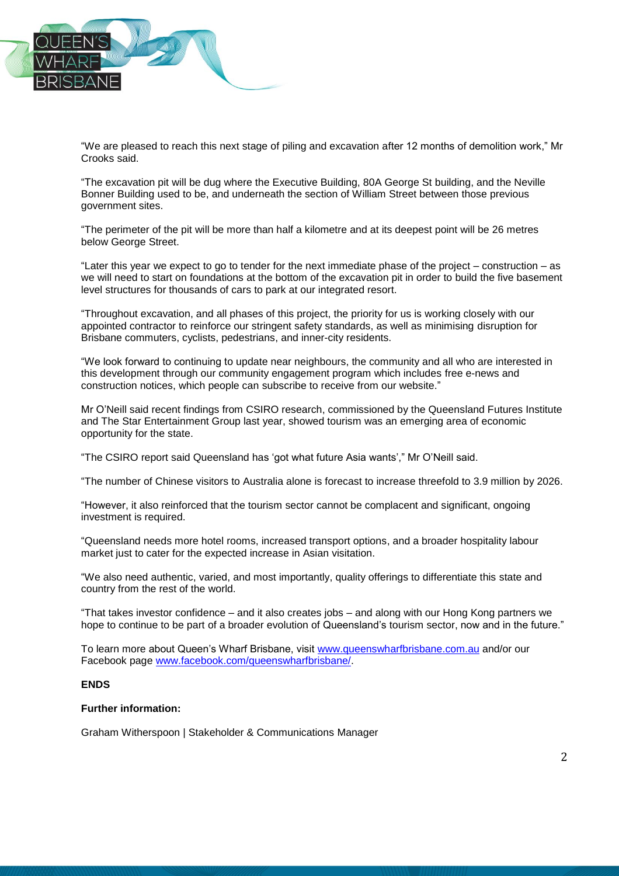

"We are pleased to reach this next stage of piling and excavation after 12 months of demolition work," Mr Crooks said.

"The excavation pit will be dug where the Executive Building, 80A George St building, and the Neville Bonner Building used to be, and underneath the section of William Street between those previous government sites.

"The perimeter of the pit will be more than half a kilometre and at its deepest point will be 26 metres below George Street.

"Later this year we expect to go to tender for the next immediate phase of the project – construction – as we will need to start on foundations at the bottom of the excavation pit in order to build the five basement level structures for thousands of cars to park at our integrated resort.

"Throughout excavation, and all phases of this project, the priority for us is working closely with our appointed contractor to reinforce our stringent safety standards, as well as minimising disruption for Brisbane commuters, cyclists, pedestrians, and inner-city residents.

"We look forward to continuing to update near neighbours, the community and all who are interested in this development through our community engagement program which includes free e-news and construction notices, which people can subscribe to receive from our website."

Mr O'Neill said recent findings from CSIRO research, commissioned by the Queensland Futures Institute and The Star Entertainment Group last year, showed tourism was an emerging area of economic opportunity for the state.

"The CSIRO report said Queensland has 'got what future Asia wants'," Mr O'Neill said.

"The number of Chinese visitors to Australia alone is forecast to increase threefold to 3.9 million by 2026.

"However, it also reinforced that the tourism sector cannot be complacent and significant, ongoing investment is required.

"Queensland needs more hotel rooms, increased transport options, and a broader hospitality labour market just to cater for the expected increase in Asian visitation.

"We also need authentic, varied, and most importantly, quality offerings to differentiate this state and country from the rest of the world.

"That takes investor confidence – and it also creates jobs – and along with our Hong Kong partners we hope to continue to be part of a broader evolution of Queensland's tourism sector, now and in the future."

To learn more about Queen's Wharf Brisbane, visit [www.queenswharfbrisbane.com.au](http://www.queenswharfbrisbane.com.au/) and/or our Facebook page [www.facebook.com/queenswharfbrisbane/.](http://www.facebook.com/queenswharfbrisbane/)

## **ENDS**

## **Further information:**

Graham Witherspoon | Stakeholder & Communications Manager